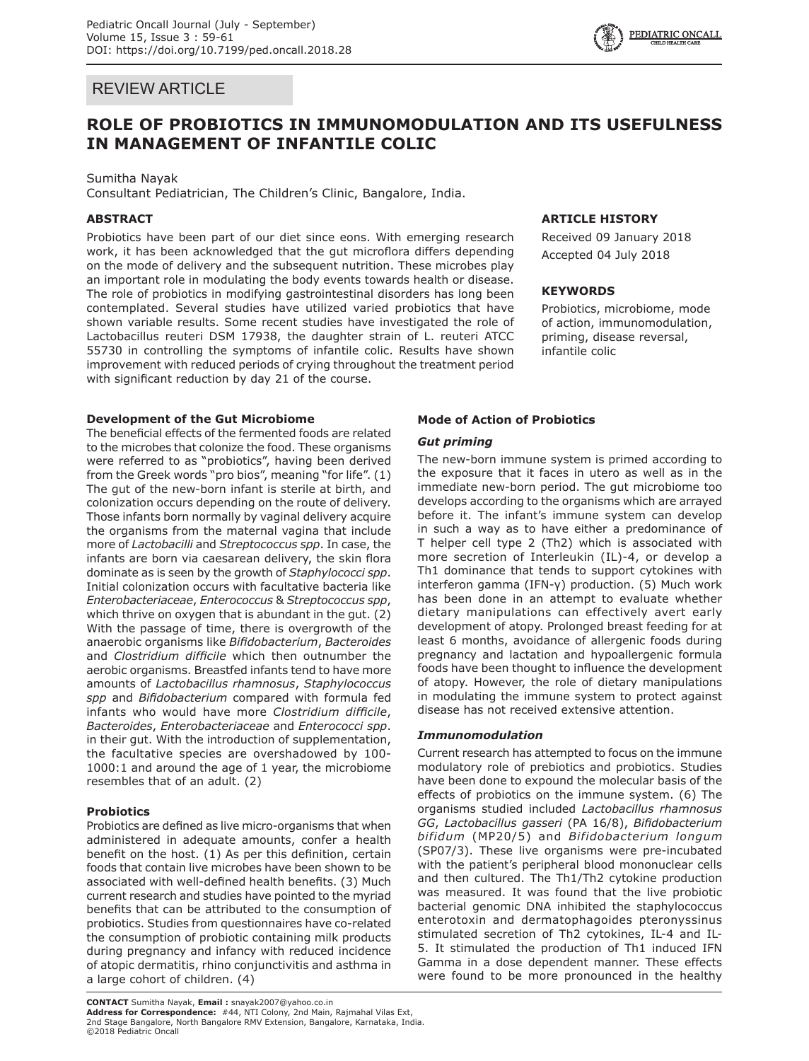## REVIEW ARTICLE

# **ROLE OF PROBIOTICS IN IMMUNOMODULATION AND ITS USEFULNESS IN MANAGEMENT OF INFANTILE COLIC**

## Sumitha Nayak

Consultant Pediatrician, The Children's Clinic, Bangalore, India.

## **ABSTRACT**

Probiotics have been part of our diet since eons. With emerging research work, it has been acknowledged that the gut microflora differs depending on the mode of delivery and the subsequent nutrition. These microbes play an important role in modulating the body events towards health or disease. The role of probiotics in modifying gastrointestinal disorders has long been contemplated. Several studies have utilized varied probiotics that have shown variable results. Some recent studies have investigated the role of Lactobacillus reuteri DSM 17938, the daughter strain of L. reuteri ATCC 55730 in controlling the symptoms of infantile colic. Results have shown improvement with reduced periods of crying throughout the treatment period with significant reduction by day 21 of the course.

## **Development of the Gut Microbiome**

The beneficial effects of the fermented foods are related to the microbes that colonize the food. These organisms were referred to as "probiotics", having been derived from the Greek words "pro bios", meaning "for life". (1) The gut of the new-born infant is sterile at birth, and colonization occurs depending on the route of delivery. Those infants born normally by vaginal delivery acquire the organisms from the maternal vagina that include more of *Lactobacilli* and *Streptococcus spp*. In case, the infants are born via caesarean delivery, the skin flora dominate as is seen by the growth of *Staphylococci spp*. Initial colonization occurs with facultative bacteria like *Enterobacteriaceae*, *Enterococcus* & *Streptococcus spp*, which thrive on oxygen that is abundant in the gut. (2) With the passage of time, there is overgrowth of the anaerobic organisms like *Bifidobacterium*, *Bacteroides*  and *Clostridium difficile* which then outnumber the aerobic organisms. Breastfed infants tend to have more amounts of *Lactobacillus rhamnosus*, *Staphylococcus spp* and *Bifidobacterium* compared with formula fed infants who would have more *Clostridium difficile*, *Bacteroides*, *Enterobacteriaceae* and *Enterococci spp*. in their gut. With the introduction of supplementation, the facultative species are overshadowed by 100- 1000:1 and around the age of 1 year, the microbiome resembles that of an adult. (2)

## **Probiotics**

©2018 Pediatric Oncall

Probiotics are defined as live micro-organisms that when administered in adequate amounts, confer a health benefit on the host. (1) As per this definition, certain foods that contain live microbes have been shown to be associated with well-defined health benefits. (3) Much current research and studies have pointed to the myriad benefits that can be attributed to the consumption of probiotics. Studies from questionnaires have co-related the consumption of probiotic containing milk products during pregnancy and infancy with reduced incidence of atopic dermatitis, rhino conjunctivitis and asthma in a large cohort of children. (4)

# **CONTACT** Sumitha Nayak, **Email :** snayak2007@yahoo.co.in **Address for Correspondence:** #44, NTI Colony, 2nd Main, Rajmahal Vilas Ext,

2nd Stage Bangalore, North Bangalore RMV Extension, Bangalore, Karnataka, India.

## **Mode of Action of Probiotics**

## *Gut priming*

The new-born immune system is primed according to the exposure that it faces in utero as well as in the immediate new-born period. The gut microbiome too develops according to the organisms which are arrayed before it. The infant's immune system can develop in such a way as to have either a predominance of T helper cell type 2 (Th2) which is associated with more secretion of Interleukin (IL)-4, or develop a Th1 dominance that tends to support cytokines with interferon gamma (IFN-γ) production. (5) Much work has been done in an attempt to evaluate whether dietary manipulations can effectively avert early development of atopy. Prolonged breast feeding for at least 6 months, avoidance of allergenic foods during pregnancy and lactation and hypoallergenic formula foods have been thought to influence the development of atopy. However, the role of dietary manipulations in modulating the immune system to protect against disease has not received extensive attention.

## *Immunomodulation*

Current research has attempted to focus on the immune modulatory role of prebiotics and probiotics. Studies have been done to expound the molecular basis of the effects of probiotics on the immune system. (6) The organisms studied included *Lactobacillus rhamnosus GG*, *Lactobacillus gasseri* (PA 16/8), *Bifidobacterium bifidum* (MP20/5) and *Bifidobacterium longum*  (SP07/3). These live organisms were pre-incubated with the patient's peripheral blood mononuclear cells and then cultured. The Th1/Th2 cytokine production was measured. It was found that the live probiotic bacterial genomic DNA inhibited the staphylococcus enterotoxin and dermatophagoides pteronyssinus stimulated secretion of Th2 cytokines, IL-4 and IL-5. It stimulated the production of Th1 induced IFN Gamma in a dose dependent manner. These effects were found to be more pronounced in the healthy

**ARTICLE HISTORY** Received 09 January 2018 Accepted 04 July 2018

Probiotics, microbiome, mode of action, immunomodulation, priming, disease reversal,

**KEYWORDS**

infantile colic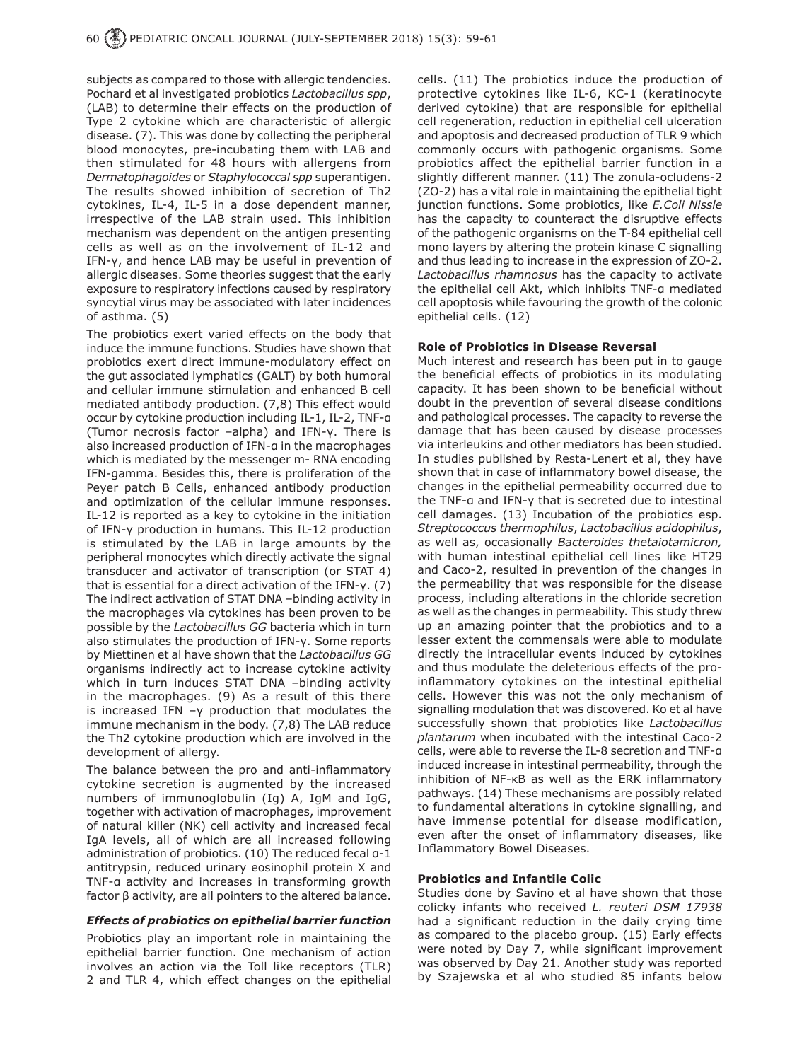subjects as compared to those with allergic tendencies. Pochard et al investigated probiotics *Lactobacillus spp*, (LAB) to determine their effects on the production of Type 2 cytokine which are characteristic of allergic disease. (7). This was done by collecting the peripheral blood monocytes, pre-incubating them with LAB and then stimulated for 48 hours with allergens from *Dermatophagoides* or *Staphylococcal spp* superantigen. The results showed inhibition of secretion of Th2 cytokines, IL-4, IL-5 in a dose dependent manner, irrespective of the LAB strain used. This inhibition mechanism was dependent on the antigen presenting cells as well as on the involvement of IL-12 and IFN-γ, and hence LAB may be useful in prevention of allergic diseases. Some theories suggest that the early exposure to respiratory infections caused by respiratory syncytial virus may be associated with later incidences of asthma. (5)

The probiotics exert varied effects on the body that induce the immune functions. Studies have shown that probiotics exert direct immune-modulatory effect on the gut associated lymphatics (GALT) by both humoral and cellular immune stimulation and enhanced B cell mediated antibody production. (7,8) This effect would occur by cytokine production including IL-1, IL-2, TNF-α (Tumor necrosis factor –alpha) and IFN-γ. There is also increased production of IFN-α in the macrophages which is mediated by the messenger m- RNA encoding IFN-gamma. Besides this, there is proliferation of the Peyer patch B Cells, enhanced antibody production and optimization of the cellular immune responses. IL-12 is reported as a key to cytokine in the initiation of IFN-γ production in humans. This IL-12 production is stimulated by the LAB in large amounts by the peripheral monocytes which directly activate the signal transducer and activator of transcription (or STAT 4) that is essential for a direct activation of the IFN-γ. (7) The indirect activation of STAT DNA –binding activity in the macrophages via cytokines has been proven to be possible by the *Lactobacillus GG* bacteria which in turn also stimulates the production of IFN-γ. Some reports by Miettinen et al have shown that the *Lactobacillus GG*  organisms indirectly act to increase cytokine activity which in turn induces STAT DNA –binding activity in the macrophages. (9) As a result of this there is increased IFN –γ production that modulates the immune mechanism in the body. (7,8) The LAB reduce the Th2 cytokine production which are involved in the development of allergy.

The balance between the pro and anti-inflammatory cytokine secretion is augmented by the increased numbers of immunoglobulin (Ig) A, IgM and IgG, together with activation of macrophages, improvement of natural killer (NK) cell activity and increased fecal IgA levels, all of which are all increased following administration of probiotics. (10) The reduced fecal α-1 antitrypsin, reduced urinary eosinophil protein X and TNF-α activity and increases in transforming growth factor β activity, are all pointers to the altered balance.

## *Effects of probiotics on epithelial barrier function*

Probiotics play an important role in maintaining the epithelial barrier function. One mechanism of action involves an action via the Toll like receptors (TLR) 2 and TLR 4, which effect changes on the epithelial cells. (11) The probiotics induce the production of protective cytokines like IL-6, KC-1 (keratinocyte derived cytokine) that are responsible for epithelial cell regeneration, reduction in epithelial cell ulceration and apoptosis and decreased production of TLR 9 which commonly occurs with pathogenic organisms. Some probiotics affect the epithelial barrier function in a slightly different manner. (11) The zonula-ocludens-2 (ZO-2) has a vital role in maintaining the epithelial tight junction functions. Some probiotics, like *E.Coli Nissle*  has the capacity to counteract the disruptive effects of the pathogenic organisms on the T-84 epithelial cell mono layers by altering the protein kinase C signalling and thus leading to increase in the expression of ZO-2. *Lactobacillus rhamnosus* has the capacity to activate the epithelial cell Akt, which inhibits TNF-α mediated cell apoptosis while favouring the growth of the colonic epithelial cells. (12)

## **Role of Probiotics in Disease Reversal**

Much interest and research has been put in to gauge the beneficial effects of probiotics in its modulating capacity. It has been shown to be beneficial without doubt in the prevention of several disease conditions and pathological processes. The capacity to reverse the damage that has been caused by disease processes via interleukins and other mediators has been studied. In studies published by Resta-Lenert et al, they have shown that in case of inflammatory bowel disease, the changes in the epithelial permeability occurred due to the TNF-α and IFN-γ that is secreted due to intestinal cell damages. (13) Incubation of the probiotics esp. *Streptococcus thermophilus*, *Lactobacillus acidophilus*, as well as, occasionally *Bacteroides thetaiotamicron,* with human intestinal epithelial cell lines like HT29 and Caco-2, resulted in prevention of the changes in the permeability that was responsible for the disease process, including alterations in the chloride secretion as well as the changes in permeability. This study threw up an amazing pointer that the probiotics and to a lesser extent the commensals were able to modulate directly the intracellular events induced by cytokines and thus modulate the deleterious effects of the proinflammatory cytokines on the intestinal epithelial cells. However this was not the only mechanism of signalling modulation that was discovered. Ko et al have successfully shown that probiotics like *Lactobacillus plantarum* when incubated with the intestinal Caco-2 cells, were able to reverse the IL-8 secretion and TNF-α induced increase in intestinal permeability, through the inhibition of NF-κB as well as the ERK inflammatory pathways. (14) These mechanisms are possibly related to fundamental alterations in cytokine signalling, and have immense potential for disease modification, even after the onset of inflammatory diseases, like Inflammatory Bowel Diseases.

#### **Probiotics and Infantile Colic**

Studies done by Savino et al have shown that those colicky infants who received *L. reuteri DSM 17938*  had a significant reduction in the daily crying time as compared to the placebo group. (15) Early effects were noted by Day 7, while significant improvement was observed by Day 21. Another study was reported by Szajewska et al who studied 85 infants below